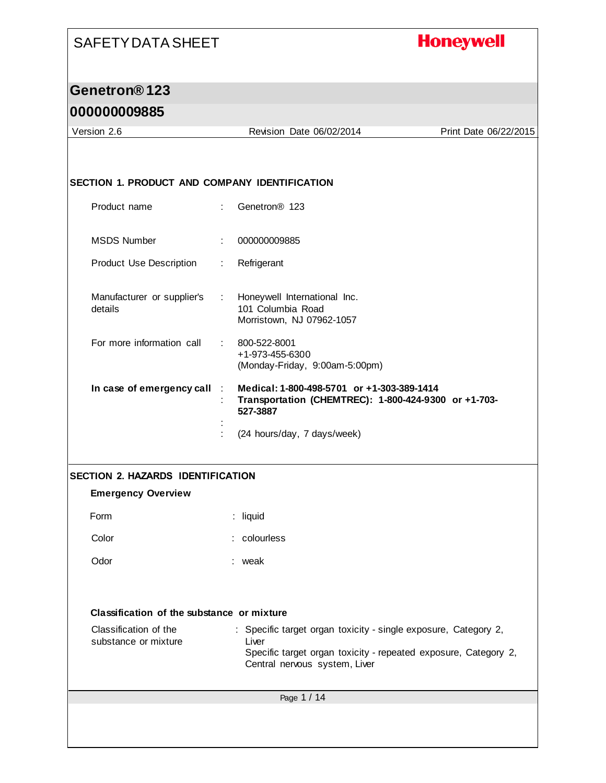# **Honeywell**

# **Genetron® 123**

## **000000009885**

| Version 2.6                                                           |                              | Revision Date 06/02/2014                                                                                                                                                     | Print Date 06/22/2015 |
|-----------------------------------------------------------------------|------------------------------|------------------------------------------------------------------------------------------------------------------------------------------------------------------------------|-----------------------|
|                                                                       |                              |                                                                                                                                                                              |                       |
| SECTION 1. PRODUCT AND COMPANY IDENTIFICATION                         |                              |                                                                                                                                                                              |                       |
|                                                                       |                              |                                                                                                                                                                              |                       |
| Product name                                                          | ÷.                           | Genetron <sup>®</sup> 123                                                                                                                                                    |                       |
| <b>MSDS Number</b>                                                    | ÷                            | 000000009885                                                                                                                                                                 |                       |
| <b>Product Use Description</b>                                        | ÷.                           | Refrigerant                                                                                                                                                                  |                       |
| Manufacturer or supplier's<br>details                                 | $\mathcal{L}_{\mathrm{eff}}$ | Honeywell International Inc.<br>101 Columbia Road<br>Morristown, NJ 07962-1057                                                                                               |                       |
| For more information call                                             |                              | 800-522-8001<br>+1-973-455-6300<br>(Monday-Friday, 9:00am-5:00pm)                                                                                                            |                       |
| In case of emergency call                                             |                              | Medical: 1-800-498-5701 or +1-303-389-1414<br>Transportation (CHEMTREC): 1-800-424-9300 or +1-703-<br>527-3887                                                               |                       |
|                                                                       |                              | (24 hours/day, 7 days/week)                                                                                                                                                  |                       |
|                                                                       |                              |                                                                                                                                                                              |                       |
| <b>SECTION 2. HAZARDS IDENTIFICATION</b><br><b>Emergency Overview</b> |                              |                                                                                                                                                                              |                       |
| Form                                                                  | : liquid                     |                                                                                                                                                                              |                       |
| Color                                                                 |                              | : colourless                                                                                                                                                                 |                       |
| Odor                                                                  | : weak                       |                                                                                                                                                                              |                       |
|                                                                       |                              |                                                                                                                                                                              |                       |
| Classification of the substance or mixture                            |                              |                                                                                                                                                                              |                       |
| Classification of the<br>substance or mixture                         |                              | : Specific target organ toxicity - single exposure, Category 2,<br>Liver<br>Specific target organ toxicity - repeated exposure, Category 2,<br>Central nervous system, Liver |                       |
|                                                                       |                              | Page 1 / 14                                                                                                                                                                  |                       |
|                                                                       |                              |                                                                                                                                                                              |                       |
|                                                                       |                              |                                                                                                                                                                              |                       |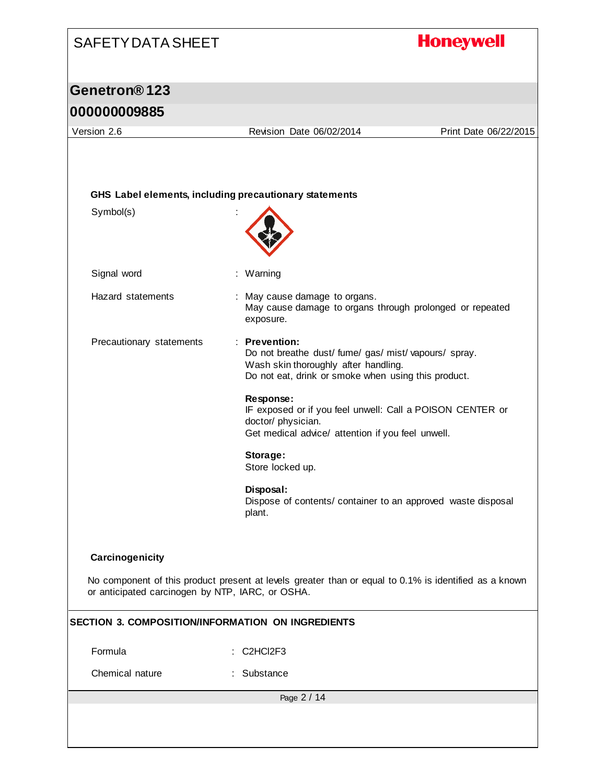# **Honeywell** SAFETY DATA SHEET **Genetron® 123 000000009885** Version 2.6 Revision Date 06/02/2014 Print Date 06/22/2015 **GHS Label elements, including precautionary statements** Symbol(s) : Signal word : Warning Hazard statements : May cause damage to organs. May cause damage to organs through prolonged or repeated exposure. Precautionary statements : **Prevention:**  Do not breathe dust/ fume/ gas/ mist/ vapours/ spray. Wash skin thoroughly after handling. Do not eat, drink or smoke when using this product. **Response:**  IF exposed or if you feel unwell: Call a POISON CENTER or doctor/ physician. Get medical advice/ attention if you feel unwell. **Storage:**  Store locked up. **Disposal:**  Dispose of contents/ container to an approved waste disposal plant. **Carcinogenicity** No component of this product present at levels greater than or equal to 0.1% is identified as a known or anticipated carcinogen by NTP, IARC, or OSHA. **SECTION 3. COMPOSITION/INFORMATION ON INGREDIENTS** Formula : C2HCl2F3 Chemical nature : Substance Page 2 / 14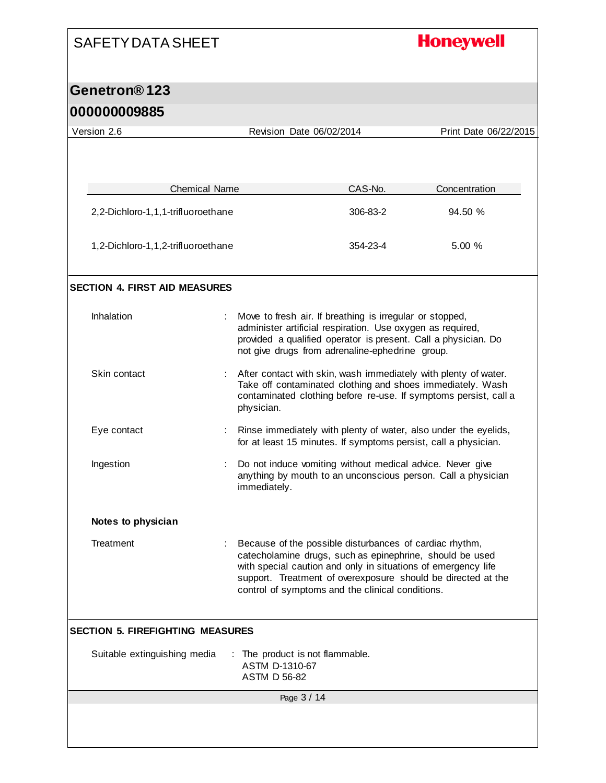# **Honeywell**

#### **Genetron® 123 000000009885**

 $\mathsf{l}$ 

| 000000009885                            |                      |                                                                                                                                                                                                                                             |          |                                                                  |
|-----------------------------------------|----------------------|---------------------------------------------------------------------------------------------------------------------------------------------------------------------------------------------------------------------------------------------|----------|------------------------------------------------------------------|
| Version 2.6                             |                      | Revision Date 06/02/2014                                                                                                                                                                                                                    |          | Print Date 06/22/2015                                            |
|                                         |                      |                                                                                                                                                                                                                                             |          |                                                                  |
|                                         |                      |                                                                                                                                                                                                                                             |          |                                                                  |
|                                         | <b>Chemical Name</b> |                                                                                                                                                                                                                                             | CAS-No.  | Concentration                                                    |
| 2,2-Dichloro-1,1,1-trifluoroethane      |                      |                                                                                                                                                                                                                                             | 306-83-2 | 94.50 %                                                          |
| 1,2-Dichloro-1,1,2-trifluoroethane      |                      |                                                                                                                                                                                                                                             | 354-23-4 | 5.00 %                                                           |
| <b>SECTION 4. FIRST AID MEASURES</b>    |                      |                                                                                                                                                                                                                                             |          |                                                                  |
| Inhalation                              |                      | Move to fresh air. If breathing is irregular or stopped,<br>administer artificial respiration. Use oxygen as required,<br>provided a qualified operator is present. Call a physician. Do<br>not give drugs from adrenaline-ephedrine group. |          |                                                                  |
| Skin contact                            |                      | : After contact with skin, wash immediately with plenty of water.<br>Take off contaminated clothing and shoes immediately. Wash<br>physician.                                                                                               |          | contaminated clothing before re-use. If symptoms persist, call a |
| Eye contact                             |                      | Rinse immediately with plenty of water, also under the eyelids,<br>for at least 15 minutes. If symptoms persist, call a physician.                                                                                                          |          |                                                                  |
| Ingestion                               |                      | Do not induce vomiting without medical advice. Never give<br>immediately.                                                                                                                                                                   |          | anything by mouth to an unconscious person. Call a physician     |
| Notes to physician                      |                      |                                                                                                                                                                                                                                             |          |                                                                  |
| Treatment                               |                      | Because of the possible disturbances of cardiac rhythm,<br>catecholamine drugs, such as epinephrine, should be used<br>with special caution and only in situations of emergency life<br>control of symptoms and the clinical conditions.    |          | support. Treatment of overexposure should be directed at the     |
| <b>SECTION 5. FIREFIGHTING MEASURES</b> |                      |                                                                                                                                                                                                                                             |          |                                                                  |
| Suitable extinguishing media            |                      | The product is not flammable.<br>ASTM D-1310-67<br><b>ASTM D 56-82</b>                                                                                                                                                                      |          |                                                                  |
|                                         |                      |                                                                                                                                                                                                                                             |          |                                                                  |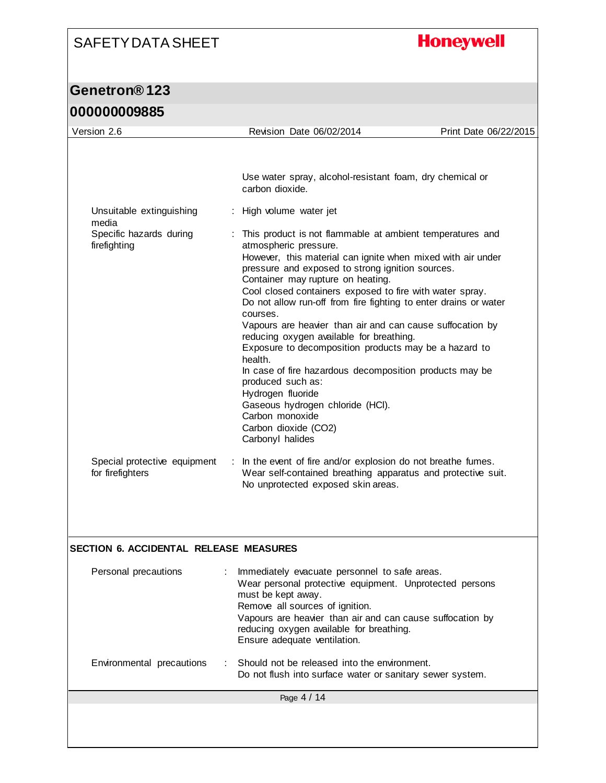# **Honeywell**

| Version 2.6                             | Revision Date 06/02/2014                                                                                                                                                                                                                                                                                                                                                                                                                                                                                                                                                                                                            | Print Date 06/22/2015 |
|-----------------------------------------|-------------------------------------------------------------------------------------------------------------------------------------------------------------------------------------------------------------------------------------------------------------------------------------------------------------------------------------------------------------------------------------------------------------------------------------------------------------------------------------------------------------------------------------------------------------------------------------------------------------------------------------|-----------------------|
|                                         |                                                                                                                                                                                                                                                                                                                                                                                                                                                                                                                                                                                                                                     |                       |
|                                         | Use water spray, alcohol-resistant foam, dry chemical or<br>carbon dioxide.                                                                                                                                                                                                                                                                                                                                                                                                                                                                                                                                                         |                       |
| Unsuitable extinguishing<br>media       | : High volume water jet                                                                                                                                                                                                                                                                                                                                                                                                                                                                                                                                                                                                             |                       |
| Specific hazards during<br>firefighting | This product is not flammable at ambient temperatures and<br>÷<br>atmospheric pressure.<br>However, this material can ignite when mixed with air under<br>pressure and exposed to strong ignition sources.<br>Container may rupture on heating.<br>Cool closed containers exposed to fire with water spray.<br>Do not allow run-off from fire fighting to enter drains or water<br>courses.<br>Vapours are heavier than air and can cause suffocation by<br>reducing oxygen available for breathing.<br>Exposure to decomposition products may be a hazard to<br>health.<br>In case of fire hazardous decomposition products may be |                       |
| Special protective equipment            | produced such as:<br>Hydrogen fluoride<br>Gaseous hydrogen chloride (HCI).<br>Carbon monoxide<br>Carbon dioxide (CO2)<br>Carbonyl halides<br>In the event of fire and/or explosion do not breathe fumes.                                                                                                                                                                                                                                                                                                                                                                                                                            |                       |
| for firefighters                        | Wear self-contained breathing apparatus and protective suit.<br>No unprotected exposed skin areas.                                                                                                                                                                                                                                                                                                                                                                                                                                                                                                                                  |                       |
| SECTION 6. ACCIDENTAL RELEASE MEASURES  |                                                                                                                                                                                                                                                                                                                                                                                                                                                                                                                                                                                                                                     |                       |
|                                         |                                                                                                                                                                                                                                                                                                                                                                                                                                                                                                                                                                                                                                     |                       |
| Personal precautions                    | Immediately evacuate personnel to safe areas.<br>Wear personal protective equipment. Unprotected persons<br>must be kept away.<br>Remove all sources of ignition.<br>Vapours are heavier than air and can cause suffocation by<br>reducing oxygen available for breathing.<br>Ensure adequate ventilation.                                                                                                                                                                                                                                                                                                                          |                       |
| Environmental precautions               | Should not be released into the environment.<br>Do not flush into surface water or sanitary sewer system.                                                                                                                                                                                                                                                                                                                                                                                                                                                                                                                           |                       |
|                                         | Page 4 / 14                                                                                                                                                                                                                                                                                                                                                                                                                                                                                                                                                                                                                         |                       |
|                                         |                                                                                                                                                                                                                                                                                                                                                                                                                                                                                                                                                                                                                                     |                       |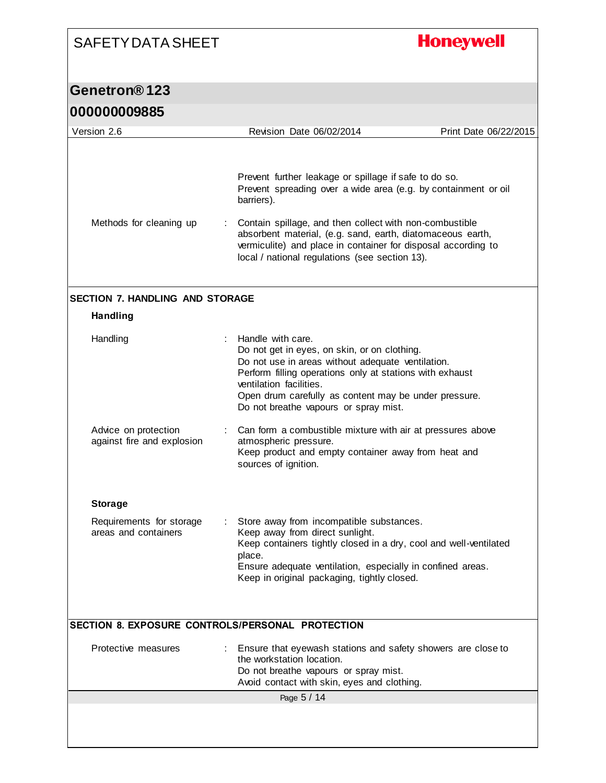# **Honeywell**

| Version 2.6                                        | Revision Date 06/02/2014                                                                                                                                                                                                                                                                                        | Print Date 06/22/2015 |
|----------------------------------------------------|-----------------------------------------------------------------------------------------------------------------------------------------------------------------------------------------------------------------------------------------------------------------------------------------------------------------|-----------------------|
|                                                    |                                                                                                                                                                                                                                                                                                                 |                       |
|                                                    | Prevent further leakage or spillage if safe to do so.<br>Prevent spreading over a wide area (e.g. by containment or oil<br>barriers).                                                                                                                                                                           |                       |
| Methods for cleaning up                            | Contain spillage, and then collect with non-combustible<br>absorbent material, (e.g. sand, earth, diatomaceous earth,<br>vermiculite) and place in container for disposal according to<br>local / national regulations (see section 13).                                                                        |                       |
| <b>SECTION 7. HANDLING AND STORAGE</b>             |                                                                                                                                                                                                                                                                                                                 |                       |
| <b>Handling</b>                                    |                                                                                                                                                                                                                                                                                                                 |                       |
| Handling                                           | Handle with care.<br>Do not get in eyes, on skin, or on clothing.<br>Do not use in areas without adequate ventilation.<br>Perform filling operations only at stations with exhaust<br>ventilation facilities.<br>Open drum carefully as content may be under pressure.<br>Do not breathe vapours or spray mist. |                       |
| Advice on protection<br>against fire and explosion | Can form a combustible mixture with air at pressures above<br>atmospheric pressure.<br>Keep product and empty container away from heat and<br>sources of ignition.                                                                                                                                              |                       |
| <b>Storage</b>                                     |                                                                                                                                                                                                                                                                                                                 |                       |
| Requirements for storage<br>areas and containers   | : Store away from incompatible substances.<br>Keep away from direct sunlight.<br>Keep containers tightly closed in a dry, cool and well-ventilated<br>place.<br>Ensure adequate ventilation, especially in confined areas.<br>Keep in original packaging, tightly closed.                                       |                       |
| SECTION 8. EXPOSURE CONTROLS/PERSONAL PROTECTION   |                                                                                                                                                                                                                                                                                                                 |                       |
| Protective measures                                | : Ensure that eyewash stations and safety showers are close to<br>the workstation location.<br>Do not breathe vapours or spray mist.<br>Avoid contact with skin, eyes and clothing.                                                                                                                             |                       |
|                                                    | Page 5 / 14                                                                                                                                                                                                                                                                                                     |                       |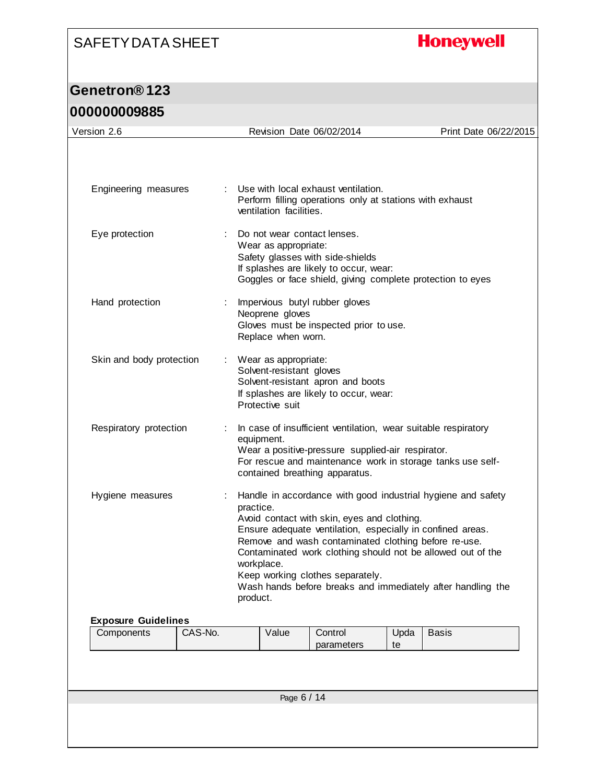# **Honeywell**

| Version 2.6                |                       |                                                                       | Revision Date 06/02/2014                                                                                                                |            | Print Date 06/22/2015                                                                                                                                                                                                                                    |
|----------------------------|-----------------------|-----------------------------------------------------------------------|-----------------------------------------------------------------------------------------------------------------------------------------|------------|----------------------------------------------------------------------------------------------------------------------------------------------------------------------------------------------------------------------------------------------------------|
|                            |                       |                                                                       |                                                                                                                                         |            |                                                                                                                                                                                                                                                          |
| Engineering measures       |                       | ventilation facilities.                                               | Use with local exhaust ventilation.<br>Perform filling operations only at stations with exhaust                                         |            |                                                                                                                                                                                                                                                          |
| Eye protection             |                       | Do not wear contact lenses.<br>Wear as appropriate:                   | Safety glasses with side-shields<br>If splashes are likely to occur, wear:                                                              |            | Goggles or face shield, giving complete protection to eyes                                                                                                                                                                                               |
| Hand protection            |                       | Neoprene gloves<br>Replace when worn.                                 | Impervious butyl rubber gloves<br>Gloves must be inspected prior to use.                                                                |            |                                                                                                                                                                                                                                                          |
| Skin and body protection   |                       | : Wear as appropriate:<br>Solvent-resistant gloves<br>Protective suit | Solvent-resistant apron and boots<br>If splashes are likely to occur, wear:                                                             |            |                                                                                                                                                                                                                                                          |
| Respiratory protection     |                       | equipment.                                                            | Wear a positive-pressure supplied-air respirator.<br>contained breathing apparatus.                                                     |            | In case of insufficient ventilation, wear suitable respiratory<br>For rescue and maintenance work in storage tanks use self-                                                                                                                             |
| Hygiene measures           | practice.<br>product. | workplace.                                                            | Avoid contact with skin, eyes and clothing.<br>Remove and wash contaminated clothing before re-use.<br>Keep working clothes separately. |            | Handle in accordance with good industrial hygiene and safety<br>Ensure adequate ventilation, especially in confined areas.<br>Contaminated work clothing should not be allowed out of the<br>Wash hands before breaks and immediately after handling the |
| <b>Exposure Guidelines</b> |                       |                                                                       |                                                                                                                                         |            |                                                                                                                                                                                                                                                          |
| Components<br>CAS-No.      |                       | Value                                                                 | Control<br>parameters                                                                                                                   | Upda<br>te | <b>Basis</b>                                                                                                                                                                                                                                             |
|                            |                       |                                                                       |                                                                                                                                         |            |                                                                                                                                                                                                                                                          |
|                            |                       | Page 6 / 14                                                           |                                                                                                                                         |            |                                                                                                                                                                                                                                                          |
|                            |                       |                                                                       |                                                                                                                                         |            |                                                                                                                                                                                                                                                          |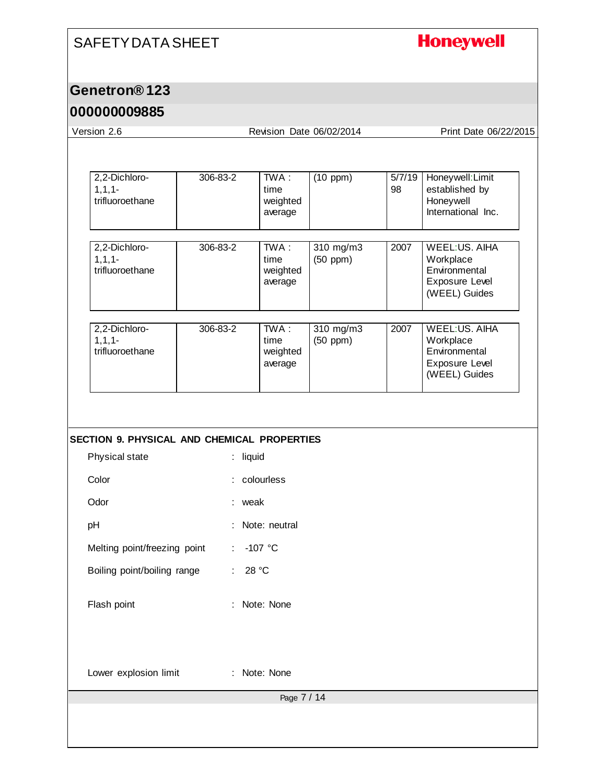# **Honeywell**

### **Genetron® 123**

#### **000000009885**

Version 2.6 Revision Date 06/02/2014 Print Date 06/22/2015

| 1, 1, 1<br>trifluoroethane                  | 306-83-2 | TWA :<br>time<br>weighted<br>average | (10 ppm)                   | 5/7/19<br>98 | Honeywell: Limit<br>established by<br>Honeywell<br>International Inc.          |
|---------------------------------------------|----------|--------------------------------------|----------------------------|--------------|--------------------------------------------------------------------------------|
| 2,2-Dichloro-<br>1, 1, 1<br>trifluoroethane | 306-83-2 | TWA :<br>time<br>weighted<br>average | 310 mg/m3<br>$(50$ ppm $)$ | 2007         | WEEL:US, AIHA<br>Workplace<br>Environmental<br>Exposure Level<br>(WEEL) Guides |
| 2,2-Dichloro-<br>1, 1, 1<br>trifluoroethane | 306-83-2 | TWA :<br>time<br>weighted<br>average | 310 mg/m3<br>$(50$ ppm $)$ | 2007         | WEEL:US, AIHA<br>Workplace<br>Environmental<br>Exposure Level<br>(WEEL) Guides |

| Physical state | $:$ liquid |
|----------------|------------|

| Color                        | $:$ colourless  |
|------------------------------|-----------------|
| Odor                         | : weak          |
| рH                           | : Note: neutral |
| Melting point/freezing point | : -107 °C       |

Boiling point/boiling range : 28 °C

Flash point : Note: None

Lower explosion limit : Note: None

Page 7 / 14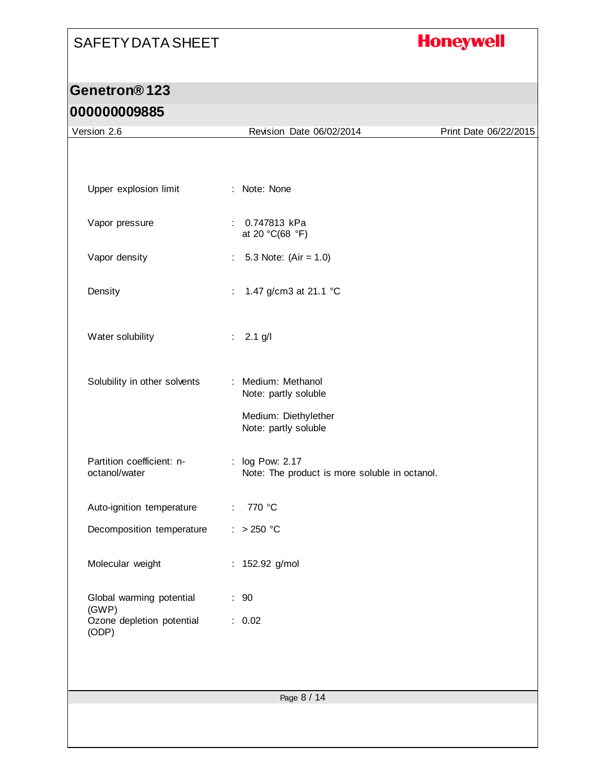# **Honeywell**

| UUUUUUUUUUU<br>Version 2.6                 | Revision Date 06/02/2014                                         | Print Date 06/22/2015 |
|--------------------------------------------|------------------------------------------------------------------|-----------------------|
|                                            |                                                                  |                       |
|                                            |                                                                  |                       |
| Upper explosion limit                      | : Note: None                                                     |                       |
|                                            |                                                                  |                       |
| Vapor pressure                             | : 0.747813 kPa<br>at 20 °C(68 °F)                                |                       |
| Vapor density                              | 5.3 Note: $(Air = 1.0)$<br>$\mathbb{Z}^n$                        |                       |
|                                            | 1.47 g/cm3 at 21.1 °C<br>÷.                                      |                       |
| Density                                    |                                                                  |                       |
| Water solubility                           | $: 2.1$ g/l                                                      |                       |
|                                            |                                                                  |                       |
| Solubility in other solvents               | : Medium: Methanol                                               |                       |
|                                            | Note: partly soluble                                             |                       |
|                                            | Medium: Diethylether<br>Note: partly soluble                     |                       |
|                                            |                                                                  |                       |
| Partition coefficient: n-<br>octanol/water | : log Pow: 2.17<br>Note: The product is more soluble in octanol. |                       |
|                                            |                                                                  |                       |
| Auto-ignition temperature                  | 770 °C<br>$\mathcal{L}^{\mathcal{L}}$                            |                       |
| Decomposition temperature                  | $: >250$ °C                                                      |                       |
| Molecular weight                           | : 152.92 g/mol                                                   |                       |
|                                            |                                                                  |                       |
| Global warming potential<br>(GWP)          | : 90                                                             |                       |
| Ozone depletion potential<br>(ODP)         | : 0.02                                                           |                       |
|                                            |                                                                  |                       |
|                                            |                                                                  |                       |
|                                            | Page 8 / 14                                                      |                       |
|                                            |                                                                  |                       |
|                                            |                                                                  |                       |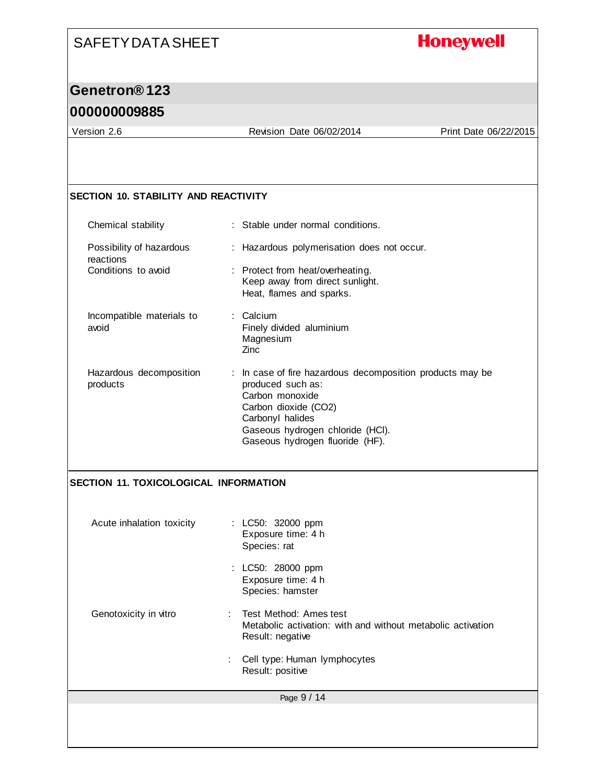## **Honeywell**

## **Genetron® 123**

#### **000000009885**

Version 2.6 Revision Date 06/02/2014 Print Date 06/22/2015

#### **SECTION 10. STABILITY AND REACTIVITY**

| Chemical stability                    | : Stable under normal conditions.                                                                                                                                                                                    |
|---------------------------------------|----------------------------------------------------------------------------------------------------------------------------------------------------------------------------------------------------------------------|
| Possibility of hazardous<br>reactions | : Hazardous polymerisation does not occur.                                                                                                                                                                           |
| Conditions to avoid                   | : Protect from heat/overheating.<br>Keep away from direct sunlight.<br>Heat, flames and sparks.                                                                                                                      |
| Incompatible materials to<br>avoid    | : Calcium<br>Finely divided aluminium<br>Magnesium<br>Zinc                                                                                                                                                           |
| Hazardous decomposition<br>products   | : In case of fire hazardous decomposition products may be<br>produced such as:<br>Carbon monoxide<br>Carbon dioxide (CO2)<br>Carbonyl halides<br>Gaseous hydrogen chloride (HCI).<br>Gaseous hydrogen fluoride (HF). |

#### **SECTION 11. TOXICOLOGICAL INFORMATION**

| Acute inhalation toxicity | : LC50: 32000 ppm<br>Exposure time: 4 h<br>Species: rat                                                     |
|---------------------------|-------------------------------------------------------------------------------------------------------------|
|                           | : LC50: 28000 ppm<br>Exposure time: 4 h<br>Species: hamster                                                 |
| Genotoxicity in vitro     | : Test Method: Ames test<br>Metabolic activation: with and without metabolic activation<br>Result: negative |
|                           | Cell type: Human lymphocytes<br>Result: positive                                                            |
|                           | Page 9 / 14                                                                                                 |
|                           |                                                                                                             |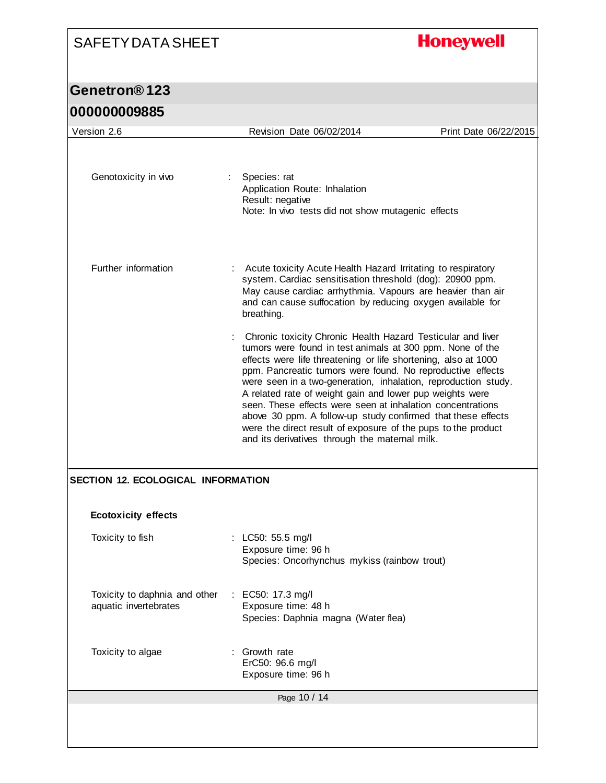# **Honeywell**

| <u> UUUUUUUJOOJ</u>                                    |                                                                                                                                                                                                                                                                                                                                                                                                                                                                                                                                                                                                                                         |                       |
|--------------------------------------------------------|-----------------------------------------------------------------------------------------------------------------------------------------------------------------------------------------------------------------------------------------------------------------------------------------------------------------------------------------------------------------------------------------------------------------------------------------------------------------------------------------------------------------------------------------------------------------------------------------------------------------------------------------|-----------------------|
| Version 2.6                                            | Revision Date 06/02/2014                                                                                                                                                                                                                                                                                                                                                                                                                                                                                                                                                                                                                | Print Date 06/22/2015 |
| Genotoxicity in vivo                                   | Species: rat<br>Application Route: Inhalation<br>Result: negative<br>Note: In vivo tests did not show mutagenic effects                                                                                                                                                                                                                                                                                                                                                                                                                                                                                                                 |                       |
| Further information                                    | Acute toxicity Acute Health Hazard Irritating to respiratory<br>system. Cardiac sensitisation threshold (dog): 20900 ppm.<br>May cause cardiac arrhythmia. Vapours are heavier than air<br>and can cause suffocation by reducing oxygen available for<br>breathing.                                                                                                                                                                                                                                                                                                                                                                     |                       |
|                                                        | Chronic toxicity Chronic Health Hazard Testicular and liver<br>tumors were found in test animals at 300 ppm. None of the<br>effects were life threatening or life shortening, also at 1000<br>ppm. Pancreatic tumors were found. No reproductive effects<br>were seen in a two-generation, inhalation, reproduction study.<br>A related rate of weight gain and lower pup weights were<br>seen. These effects were seen at inhalation concentrations<br>above 30 ppm. A follow-up study confirmed that these effects<br>were the direct result of exposure of the pups to the product<br>and its derivatives through the maternal milk. |                       |
| <b>SECTION 12. ECOLOGICAL INFORMATION</b>              |                                                                                                                                                                                                                                                                                                                                                                                                                                                                                                                                                                                                                                         |                       |
| <b>Ecotoxicity effects</b>                             |                                                                                                                                                                                                                                                                                                                                                                                                                                                                                                                                                                                                                                         |                       |
| Toxicity to fish                                       | : LC50: 55.5 mg/l<br>Exposure time: 96 h<br>Species: Oncorhynchus mykiss (rainbow trout)                                                                                                                                                                                                                                                                                                                                                                                                                                                                                                                                                |                       |
| Toxicity to daphnia and other<br>aquatic invertebrates | : EC50: 17.3 mg/l<br>Exposure time: 48 h<br>Species: Daphnia magna (Water flea)                                                                                                                                                                                                                                                                                                                                                                                                                                                                                                                                                         |                       |
| Toxicity to algae                                      | Growth rate<br>ErC50: 96.6 mg/l<br>Exposure time: 96 h                                                                                                                                                                                                                                                                                                                                                                                                                                                                                                                                                                                  |                       |
|                                                        | Page 10 / 14                                                                                                                                                                                                                                                                                                                                                                                                                                                                                                                                                                                                                            |                       |
|                                                        |                                                                                                                                                                                                                                                                                                                                                                                                                                                                                                                                                                                                                                         |                       |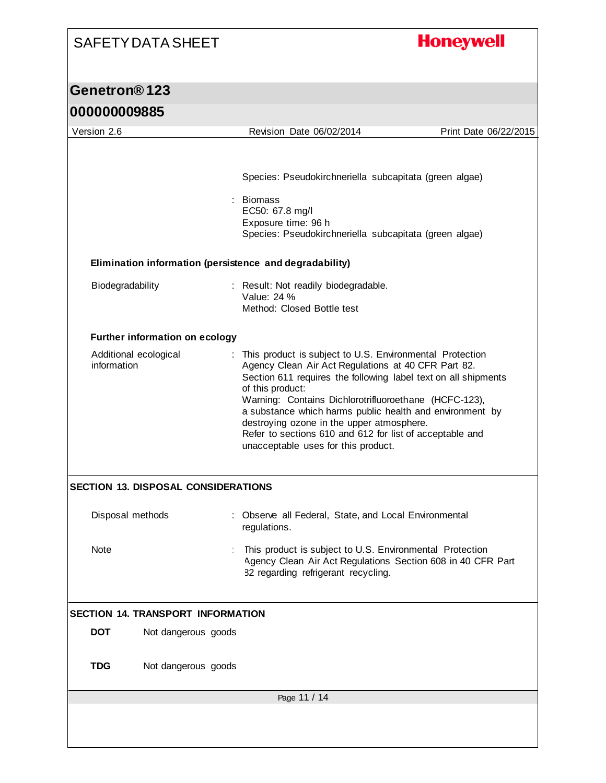# **Honeywell**

| 000000009885                                            |                                                                                                                                                                                                                                                                                                                                                                                                                                                                            |                       |  |  |
|---------------------------------------------------------|----------------------------------------------------------------------------------------------------------------------------------------------------------------------------------------------------------------------------------------------------------------------------------------------------------------------------------------------------------------------------------------------------------------------------------------------------------------------------|-----------------------|--|--|
| Version 2.6                                             | Revision Date 06/02/2014                                                                                                                                                                                                                                                                                                                                                                                                                                                   | Print Date 06/22/2015 |  |  |
|                                                         | Species: Pseudokirchneriella subcapitata (green algae)<br><b>Biomass</b><br>EC50: 67.8 mg/l<br>Exposure time: 96 h<br>Species: Pseudokirchneriella subcapitata (green algae)                                                                                                                                                                                                                                                                                               |                       |  |  |
| Elimination information (persistence and degradability) |                                                                                                                                                                                                                                                                                                                                                                                                                                                                            |                       |  |  |
| Biodegradability                                        | : Result: Not readily biodegradable.<br>Value: 24 %<br>Method: Closed Bottle test                                                                                                                                                                                                                                                                                                                                                                                          |                       |  |  |
| <b>Further information on ecology</b>                   |                                                                                                                                                                                                                                                                                                                                                                                                                                                                            |                       |  |  |
| Additional ecological<br>information                    | This product is subject to U.S. Environmental Protection<br>Agency Clean Air Act Regulations at 40 CFR Part 82.<br>Section 611 requires the following label text on all shipments<br>of this product:<br>Warning: Contains Dichlorotrifluoroethane (HCFC-123),<br>a substance which harms public health and environment by<br>destroying ozone in the upper atmosphere.<br>Refer to sections 610 and 612 for list of acceptable and<br>unacceptable uses for this product. |                       |  |  |
| <b>SECTION 13. DISPOSAL CONSIDERATIONS</b>              |                                                                                                                                                                                                                                                                                                                                                                                                                                                                            |                       |  |  |
| Disposal methods                                        | : Observe all Federal, State, and Local Environmental<br>regulations.                                                                                                                                                                                                                                                                                                                                                                                                      |                       |  |  |
| Note                                                    | This product is subject to U.S. Environmental Protection<br>Agency Clean Air Act Regulations Section 608 in 40 CFR Part<br>82 regarding refrigerant recycling.                                                                                                                                                                                                                                                                                                             |                       |  |  |
| <b>SECTION 14. TRANSPORT INFORMATION</b>                |                                                                                                                                                                                                                                                                                                                                                                                                                                                                            |                       |  |  |
| <b>DOT</b><br>Not dangerous goods                       |                                                                                                                                                                                                                                                                                                                                                                                                                                                                            |                       |  |  |
| <b>TDG</b><br>Not dangerous goods                       |                                                                                                                                                                                                                                                                                                                                                                                                                                                                            |                       |  |  |
| Page 11 / 14                                            |                                                                                                                                                                                                                                                                                                                                                                                                                                                                            |                       |  |  |
|                                                         |                                                                                                                                                                                                                                                                                                                                                                                                                                                                            |                       |  |  |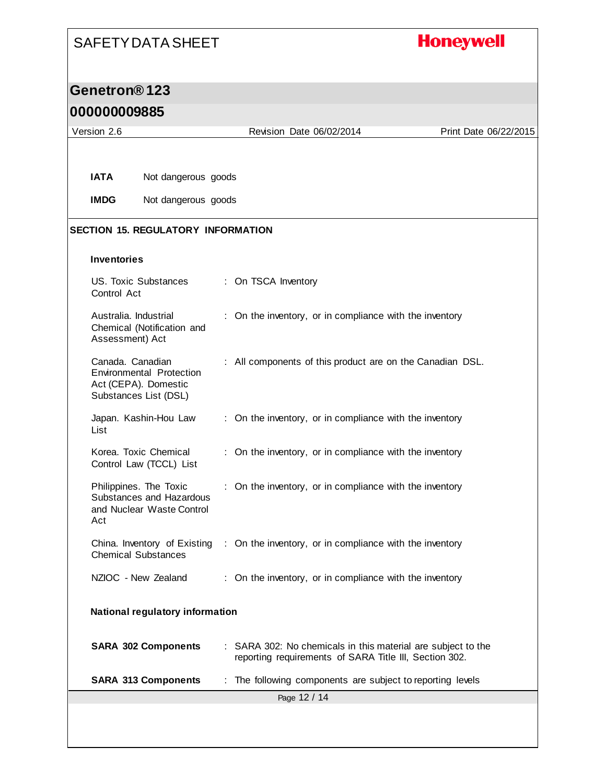# **Honeywell**

## **Genetron® 123**

#### **000000009885**

| Version 2.6                                                                                          |                     | Revision Date 06/02/2014                                                                                               | Print Date 06/22/2015 |  |  |  |
|------------------------------------------------------------------------------------------------------|---------------------|------------------------------------------------------------------------------------------------------------------------|-----------------------|--|--|--|
|                                                                                                      |                     |                                                                                                                        |                       |  |  |  |
| <b>IATA</b><br>Not dangerous goods                                                                   |                     |                                                                                                                        |                       |  |  |  |
| <b>IMDG</b>                                                                                          | Not dangerous goods |                                                                                                                        |                       |  |  |  |
| <b>SECTION 15. REGULATORY INFORMATION</b>                                                            |                     |                                                                                                                        |                       |  |  |  |
| <b>Inventories</b>                                                                                   |                     |                                                                                                                        |                       |  |  |  |
| US. Toxic Substances<br>Control Act                                                                  |                     | : On TSCA Inventory                                                                                                    |                       |  |  |  |
| Australia, Industrial<br>Chemical (Notification and<br>Assessment) Act                               |                     | : On the inventory, or in compliance with the inventory                                                                |                       |  |  |  |
| Canada. Canadian<br><b>Environmental Protection</b><br>Act (CEPA). Domestic<br>Substances List (DSL) |                     | : All components of this product are on the Canadian DSL.                                                              |                       |  |  |  |
| Japan. Kashin-Hou Law<br>List                                                                        |                     | : On the inventory, or in compliance with the inventory                                                                |                       |  |  |  |
| Korea. Toxic Chemical<br>Control Law (TCCL) List                                                     |                     | : On the inventory, or in compliance with the inventory                                                                |                       |  |  |  |
| Philippines. The Toxic<br>Substances and Hazardous<br>and Nuclear Waste Control<br>Act               |                     | : On the inventory, or in compliance with the inventory                                                                |                       |  |  |  |
| China. Inventory of Existing<br><b>Chemical Substances</b>                                           |                     | : On the inventory, or in compliance with the inventory                                                                |                       |  |  |  |
| NZIOC - New Zealand                                                                                  |                     | : On the inventory, or in compliance with the inventory                                                                |                       |  |  |  |
| National regulatory information                                                                      |                     |                                                                                                                        |                       |  |  |  |
| <b>SARA 302 Components</b>                                                                           |                     | : SARA 302: No chemicals in this material are subject to the<br>reporting requirements of SARA Title III, Section 302. |                       |  |  |  |
| <b>SARA 313 Components</b>                                                                           |                     | The following components are subject to reporting levels                                                               |                       |  |  |  |
| Page 12 / 14                                                                                         |                     |                                                                                                                        |                       |  |  |  |
|                                                                                                      |                     |                                                                                                                        |                       |  |  |  |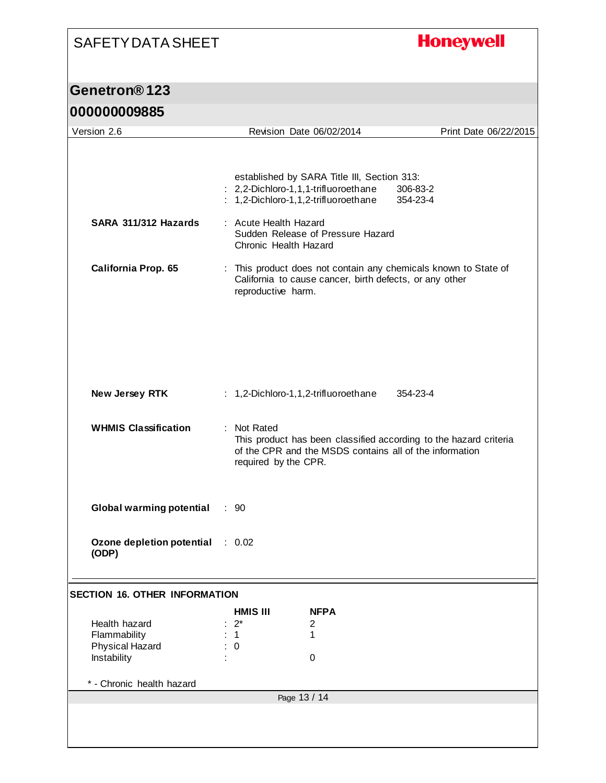# **Honeywell**

## **Genetron® 123**

#### **000000009885**

| Version 2.6                          |                       | Revision Date 06/02/2014                                | Print Date 06/22/2015                                             |  |
|--------------------------------------|-----------------------|---------------------------------------------------------|-------------------------------------------------------------------|--|
|                                      |                       |                                                         |                                                                   |  |
|                                      |                       |                                                         |                                                                   |  |
|                                      |                       | established by SARA Title III, Section 313:             |                                                                   |  |
|                                      |                       | : 2,2-Dichloro-1,1,1-trifluoroethane                    | 306-83-2                                                          |  |
|                                      |                       | : 1,2-Dichloro-1,1,2-trifluoroethane                    | 354-23-4                                                          |  |
|                                      |                       |                                                         |                                                                   |  |
| SARA 311/312 Hazards                 | : Acute Health Hazard |                                                         |                                                                   |  |
|                                      |                       | Sudden Release of Pressure Hazard                       |                                                                   |  |
|                                      | Chronic Health Hazard |                                                         |                                                                   |  |
|                                      |                       |                                                         |                                                                   |  |
| California Prop. 65                  |                       |                                                         | : This product does not contain any chemicals known to State of   |  |
|                                      | reproductive harm.    | California to cause cancer, birth defects, or any other |                                                                   |  |
|                                      |                       |                                                         |                                                                   |  |
|                                      |                       |                                                         |                                                                   |  |
|                                      |                       |                                                         |                                                                   |  |
|                                      |                       |                                                         |                                                                   |  |
|                                      |                       |                                                         |                                                                   |  |
|                                      |                       |                                                         |                                                                   |  |
|                                      |                       |                                                         |                                                                   |  |
|                                      |                       |                                                         |                                                                   |  |
| New Jersey RTK                       |                       | : 1,2-Dichloro-1,1,2-trifluoroethane                    | 354-23-4                                                          |  |
|                                      |                       |                                                         |                                                                   |  |
| <b>WHMIS Classification</b>          | : Not Rated           |                                                         |                                                                   |  |
|                                      |                       |                                                         | This product has been classified according to the hazard criteria |  |
|                                      |                       | of the CPR and the MSDS contains all of the information |                                                                   |  |
|                                      | required by the CPR.  |                                                         |                                                                   |  |
|                                      |                       |                                                         |                                                                   |  |
|                                      |                       |                                                         |                                                                   |  |
|                                      |                       |                                                         |                                                                   |  |
| <b>Global warming potential</b>      | $\therefore$ 90       |                                                         |                                                                   |  |
|                                      |                       |                                                         |                                                                   |  |
|                                      |                       |                                                         |                                                                   |  |
| Ozone depletion potential            | 0.02                  |                                                         |                                                                   |  |
| (ODP)                                |                       |                                                         |                                                                   |  |
|                                      |                       |                                                         |                                                                   |  |
|                                      |                       |                                                         |                                                                   |  |
| <b>SECTION 16. OTHER INFORMATION</b> |                       |                                                         |                                                                   |  |
|                                      | <b>HMIS III</b>       | <b>NFPA</b>                                             |                                                                   |  |
| Health hazard                        | $2^*$                 | 2                                                       |                                                                   |  |
| Flammability                         | 1.                    | 1                                                       |                                                                   |  |
| <b>Physical Hazard</b>               | 0                     |                                                         |                                                                   |  |
| Instability                          |                       | 0                                                       |                                                                   |  |
|                                      |                       |                                                         |                                                                   |  |
| * - Chronic health hazard            |                       |                                                         |                                                                   |  |
| Page 13 / 14                         |                       |                                                         |                                                                   |  |
|                                      |                       |                                                         |                                                                   |  |
|                                      |                       |                                                         |                                                                   |  |
|                                      |                       |                                                         |                                                                   |  |